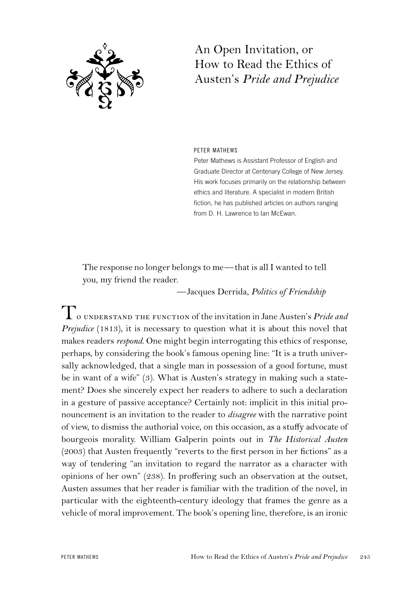

## An Open Invitation, or How to Read the Ethics of Austen's *Pride and Prejudice*

## PETER MATHEWS

Peter Mathews is Assistant Professor of English and Graduate Director at Centenary College of New Jersey. His work focuses primarily on the relationship between ethics and literature. A specialist in modern British fiction, he has published articles on authors ranging from D. H. Lawrence to Ian McEwan.

The response no longer belongs to me—that is all I wanted to tell you, my friend the reader.

—Jacques Derrida, *Politics of Friendship*

To understand the function of the invitation in Jane Austen's *Pride and Prejudice* (1813), it is necessary to question what it is about this novel that makes readers *respond*. One might begin interrogating this ethics of response, perhaps, by considering the book's famous opening line: "It is a truth universally acknowledged, that a single man in possession of a good fortune, must be in want of a wife" (3). What is Austen's strategy in making such a statement? Does she sincerely expect her readers to adhere to such a declaration in a gesture of passive acceptance? Certainly not: implicit in this initial pronouncement is an invitation to the reader to *disagree* with the narrative point of view, to dismiss the authorial voice, on this occasion, as a stuffy advocate of bourgeois morality. William Galperin points out in *The Historical Austen* (2003) that Austen frequently "reverts to the first person in her fictions" as a way of tendering "an invitation to regard the narrator as a character with opinions of her own" (238). In proffering such an observation at the outset, Austen assumes that her reader is familiar with the tradition of the novel, in particular with the eighteenth-century ideology that frames the genre as a vehicle of moral improvement. The book's opening line, therefore, is an ironic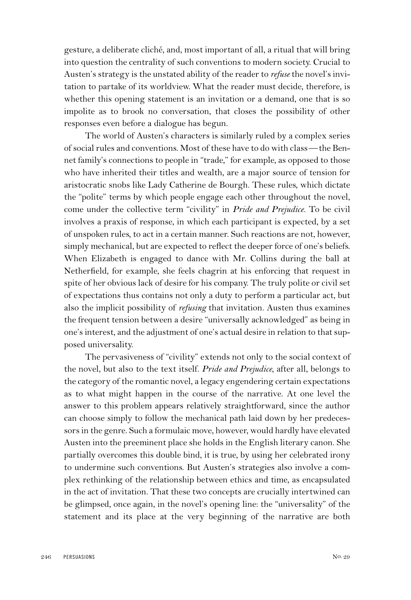gesture, a deliberate cliché, and, most important of all, a ritual that will bring into question the centrality of such conventions to modern society. Crucial to Austen's strategy is the unstated ability of the reader to *refuse* the novel's invitation to partake of its worldview. What the reader must decide, therefore, is whether this opening statement is an invitation or a demand, one that is so impolite as to brook no conversation, that closes the possibility of other responses even before a dialogue has begun.

The world of Austen's characters is similarly ruled by a complex series of social rules and conventions. Most of these have to do with class—the Bennet family's connections to people in "trade," for example, as opposed to those who have inherited their titles and wealth, are a major source of tension for aristocratic snobs like Lady Catherine de Bourgh. These rules, which dictate the "polite" terms by which people engage each other throughout the novel, come under the collective term "civility" in *Pride and Prejudice*. To be civil involves a praxis of response, in which each participant is expected, by a set of unspoken rules, to act in a certain manner. Such reactions are not, however, simply mechanical, but are expected to reflect the deeper force of one's beliefs. When Elizabeth is engaged to dance with Mr. Collins during the ball at Netherfield, for example, she feels chagrin at his enforcing that request in spite of her obvious lack of desire for his company. The truly polite or civil set of expectations thus contains not only a duty to perform a particular act, but also the implicit possibility of *refusing* that invitation. Austen thus examines the frequent tension between a desire "universally acknowledged" as being in one's interest, and the adjustment of one's actual desire in relation to that supposed universality.

The pervasiveness of "civility" extends not only to the social context of the novel, but also to the text itself. *Pride and Prejudice*, after all, belongs to the category of the romantic novel, a legacy engendering certain expectations as to what might happen in the course of the narrative. At one level the answer to this problem appears relatively straightforward, since the author can choose simply to follow the mechanical path laid down by her predecessors in the genre. Such a formulaic move, however, would hardly have elevated Austen into the preeminent place she holds in the English literary canon. She partially overcomes this double bind, it is true, by using her celebrated irony to undermine such conventions. But Austen's strategies also involve a complex rethinking of the relationship between ethics and time, as encapsulated in the act of invitation. That these two concepts are crucially intertwined can be glimpsed, once again, in the novel's opening line: the "universality" of the statement and its place at the very beginning of the narrative are both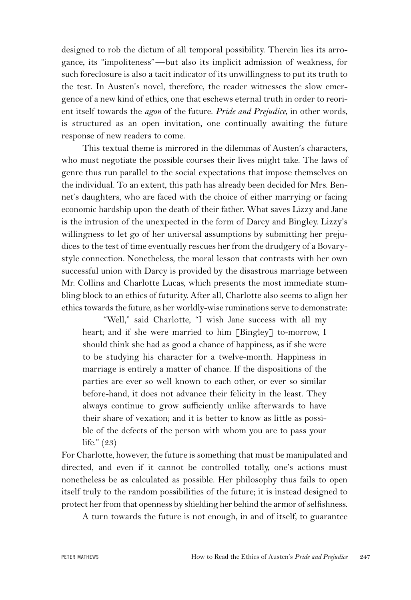designed to rob the dictum of all temporal possibility. Therein lies its arrogance, its "impoliteness"—but also its implicit admission of weakness, for such foreclosure is also a tacit indicator of its unwillingness to put its truth to the test. In Austen's novel, therefore, the reader witnesses the slow emergence of a new kind of ethics, one that eschews eternal truth in order to reorient itself towards the *agon* of the future. *Pride and Prejudice*, in other words, is structured as an open invitation, one continually awaiting the future response of new readers to come.

This textual theme is mirrored in the dilemmas of Austen's characters, who must negotiate the possible courses their lives might take. The laws of genre thus run parallel to the social expectations that impose themselves on the individual. To an extent, this path has already been decided for Mrs. Bennet's daughters, who are faced with the choice of either marrying or facing economic hardship upon the death of their father. What saves Lizzy and Jane is the intrusion of the unexpected in the form of Darcy and Bingley. Lizzy's willingness to let go of her universal assumptions by submitting her prejudices to the test of time eventually rescues her from the drudgery of a Bovarystyle connection. Nonetheless, the moral lesson that contrasts with her own successful union with Darcy is provided by the disastrous marriage between Mr. Collins and Charlotte Lucas, which presents the most immediate stumbling block to an ethics of futurity. After all, Charlotte also seems to align her ethics towards the future, as her worldly-wise ruminations serve to demonstrate:

"Well," said Charlotte, "I wish Jane success with all my heart; and if she were married to him [Bingley] to-morrow, I should think she had as good a chance of happiness, as if she were to be studying his character for a twelve-month. Happiness in marriage is entirely a matter of chance. If the dispositions of the parties are ever so well known to each other, or ever so similar before-hand, it does not advance their felicity in the least. They always continue to grow sufficiently unlike afterwards to have their share of vexation; and it is better to know as little as possible of the defects of the person with whom you are to pass your life." (23)

For Charlotte, however, the future is something that must be manipulated and directed, and even if it cannot be controlled totally, one's actions must nonetheless be as calculated as possible. Her philosophy thus fails to open itself truly to the random possibilities of the future; it is instead designed to protect her from that openness by shielding her behind the armor of selfishness.

A turn towards the future is not enough, in and of itself, to guarantee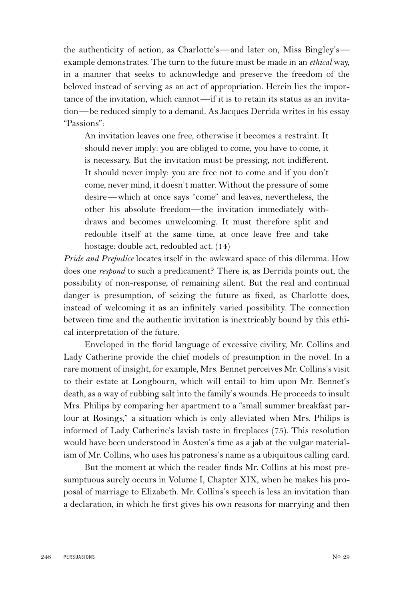the authenticity of action, as Charlotte's—and later on, Miss Bingley's example demonstrates. The turn to the future must be made in an *ethical* way, in a manner that seeks to acknowledge and preserve the freedom of the beloved instead of serving as an act of appropriation. Herein lies the importance of the invitation, which cannot—if it is to retain its status as an invitation—be reduced simply to a demand. As Jacques Derrida writes in his essay "Passions":

An invitation leaves one free, otherwise it becomes a restraint. It should never imply: you are obliged to come, you have to come, it is necessary. But the invitation must be pressing, not indifferent. It should never imply: you are free not to come and if you don't come, never mind, it doesn't matter. Without the pressure of some desire—which at once says "come" and leaves, nevertheless, the other his absolute freedom—the invitation immediately withdraws and becomes unwelcoming. It must therefore split and redouble itself at the same time, at once leave free and take hostage: double act, redoubled act. (14)

*Pride and Prejudice* locates itself in the awkward space of this dilemma. How does one *respond* to such a predicament? There is, as Derrida points out, the possibility of non-response, of remaining silent. But the real and continual danger is presumption, of seizing the future as fixed, as Charlotte does, instead of welcoming it as an infinitely varied possibility. The connection between time and the authentic invitation is inextricably bound by this ethical interpretation of the future.

Enveloped in the florid language of excessive civility, Mr. Collins and Lady Catherine provide the chief models of presumption in the novel. In a rare moment of insight, for example, Mrs. Bennet perceives Mr. Collins's visit to their estate at Longbourn, which will entail to him upon Mr. Bennet's death, as a way of rubbing salt into the family's wounds. He proceeds to insult Mrs. Philips by comparing her apartment to a "small summer breakfast parlour at Rosings," a situation which is only alleviated when Mrs. Philips is informed of Lady Catherine's lavish taste in fireplaces (75). This resolution would have been understood in Austen's time as a jab at the vulgar materialism of Mr. Collins, who uses his patroness's name as a ubiquitous calling card.

But the moment at which the reader finds Mr. Collins at his most presumptuous surely occurs in Volume I, Chapter XIX, when he makes his proposal of marriage to Elizabeth. Mr. Collins's speech is less an invitation than a declaration, in which he first gives his own reasons for marrying and then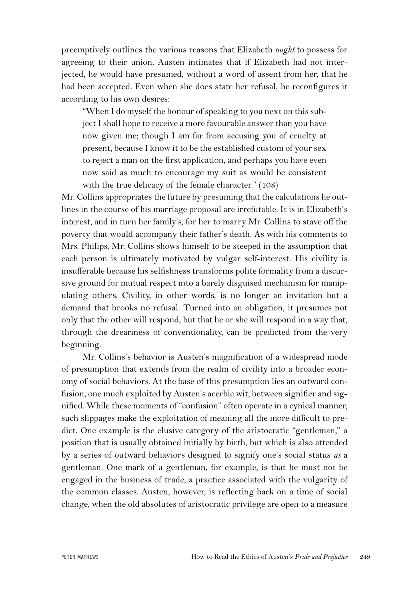preemptively outlines the various reasons that Elizabeth *ought* to possess for agreeing to their union. Austen intimates that if Elizabeth had not interjected, he would have presumed, without a word of assent from her, that he had been accepted. Even when she does state her refusal, he reconfigures it according to his own desires:

"When I do myself the honour of speaking to you next on this subject I shall hope to receive a more favourable answer than you have now given me; though I am far from accusing you of cruelty at present, because I know it to be the established custom of your sex to reject a man on the first application, and perhaps you have even now said as much to encourage my suit as would be consistent with the true delicacy of the female character." (108)

Mr. Collins appropriates the future by presuming that the calculations he outlines in the course of his marriage proposal are irrefutable. It is in Elizabeth's interest, and in turn her family's, for her to marry Mr. Collins to stave off the poverty that would accompany their father's death. As with his comments to Mrs. Philips, Mr. Collins shows himself to be steeped in the assumption that each person is ultimately motivated by vulgar self-interest. His civility is insufferable because his selfishness transforms polite formality from a discursive ground for mutual respect into a barely disguised mechanism for manipulating others. Civility, in other words, is no longer an invitation but a demand that brooks no refusal. Turned into an obligation, it presumes not only that the other will respond, but that he or she will respond in a way that, through the dreariness of conventionality, can be predicted from the very beginning.

Mr. Collins's behavior is Austen's magnification of a widespread mode of presumption that extends from the realm of civility into a broader economy of social behaviors. At the base of this presumption lies an outward confusion, one much exploited by Austen's acerbic wit, between signifier and signified. While these moments of "confusion" often operate in a cynical manner, such slippages make the exploitation of meaning all the more difficult to predict. One example is the elusive category of the aristocratic "gentleman," a position that is usually obtained initially by birth, but which is also attended by a series of outward behaviors designed to signify one's social status *as* a gentleman. One mark of a gentleman, for example, is that he must not be engaged in the business of trade, a practice associated with the vulgarity of the common classes. Austen, however, is reflecting back on a time of social change, when the old absolutes of aristocratic privilege are open to a measure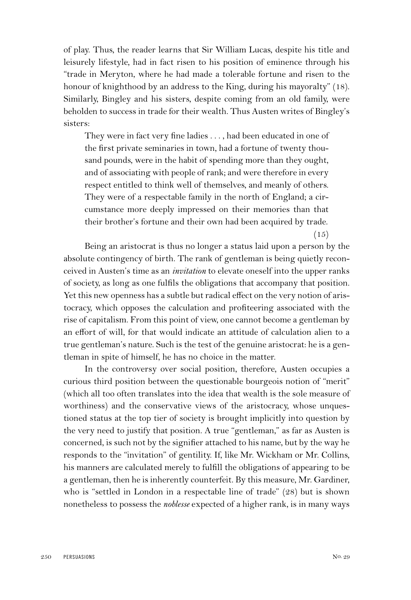of play. Thus, the reader learns that Sir William Lucas, despite his title and leisurely lifestyle, had in fact risen to his position of eminence through his "trade in Meryton, where he had made a tolerable fortune and risen to the honour of knighthood by an address to the King, during his mayoralty" (18). Similarly, Bingley and his sisters, despite coming from an old family, were beholden to success in trade for their wealth. Thus Austen writes of Bingley's sisters:

They were in fact very fine ladies . . . , had been educated in one of the first private seminaries in town, had a fortune of twenty thousand pounds, were in the habit of spending more than they ought, and of associating with people of rank; and were therefore in every respect entitled to think well of themselves, and meanly of others. They were of a respectable family in the north of England; a circumstance more deeply impressed on their memories than that their brother's fortune and their own had been acquired by trade.

Being an aristocrat is thus no longer a status laid upon a person by the absolute contingency of birth. The rank of gentleman is being quietly reconceived in Austen's time as an *invitation* to elevate oneself into the upper ranks of society, as long as one fulfils the obligations that accompany that position. Yet this new openness has a subtle but radical effect on the very notion of aristocracy, which opposes the calculation and profiteering associated with the rise of capitalism. From this point of view, one cannot become a gentleman by an effort of will, for that would indicate an attitude of calculation alien to a true gentleman's nature. Such is the test of the genuine aristocrat: he is a gentleman in spite of himself, he has no choice in the matter.

In the controversy over social position, therefore, Austen occupies a curious third position between the questionable bourgeois notion of "merit" (which all too often translates into the idea that wealth is the sole measure of worthiness) and the conservative views of the aristocracy, whose unquestioned status at the top tier of society is brought implicitly into question by the very need to justify that position. A true "gentleman," as far as Austen is concerned, is such not by the signifier attached to his name, but by the way he responds to the "invitation" of gentility. If, like Mr. Wickham or Mr. Collins, his manners are calculated merely to fulfill the obligations of appearing to be a gentleman, then he is inherently counterfeit. By this measure, Mr. Gardiner, who is "settled in London in a respectable line of trade" (28) but is shown nonetheless to possess the *noblesse* expected of a higher rank, is in many ways

(15)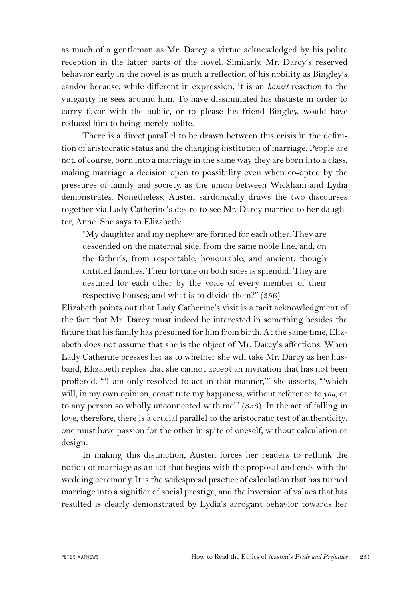as much of a gentleman as Mr. Darcy, a virtue acknowledged by his polite reception in the latter parts of the novel. Similarly, Mr. Darcy's reserved behavior early in the novel is as much a reflection of his nobility as Bingley's candor because, while different in expression, it is an *honest* reaction to the vulgarity he sees around him. To have dissimulated his distaste in order to curry favor with the public, or to please his friend Bingley, would have reduced him to being merely polite.

There is a direct parallel to be drawn between this crisis in the definition of aristocratic status and the changing institution of marriage. People are not, of course, born into a marriage in the same way they are born into a class, making marriage a decision open to possibility even when co-opted by the pressures of family and society, as the union between Wickham and Lydia demonstrates. Nonetheless, Austen sardonically draws the two discourses together via Lady Catherine's desire to see Mr. Darcy married to her daughter, Anne. She says to Elizabeth:

"My daughter and my nephew are formed for each other. They are descended on the maternal side, from the same noble line; and, on the father's, from respectable, honourable, and ancient, though untitled families. Their fortune on both sides is splendid. They are destined for each other by the voice of every member of their respective houses; and what is to divide them?" (356)

Elizabeth points out that Lady Catherine's visit is a tacit acknowledgment of the fact that Mr. Darcy must indeed be interested in something besides the future that his family has presumed for him from birth. At the same time, Elizabeth does not assume that she is the object of Mr. Darcy's affections. When Lady Catherine presses her as to whether she will take Mr. Darcy as her husband, Elizabeth replies that she cannot accept an invitation that has not been proffered. "'I am only resolved to act in that manner,'" she asserts, "'which will, in my own opinion, constitute my happiness, without reference to *you*, or to any person so wholly unconnected with me'" (358). In the act of falling in love, therefore, there is a crucial parallel to the aristocratic test of authenticity: one must have passion for the other in spite of oneself, without calculation or design.

In making this distinction, Austen forces her readers to rethink the notion of marriage as an act that begins with the proposal and ends with the wedding ceremony. It is the widespread practice of calculation that has turned marriage into a signifier of social prestige, and the inversion of values that has resulted is clearly demonstrated by Lydia's arrogant behavior towards her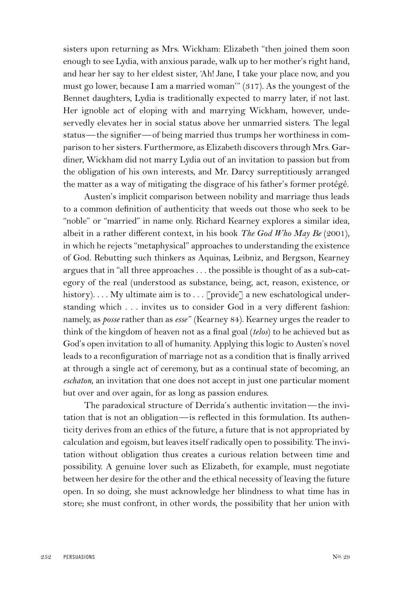sisters upon returning as Mrs. Wickham: Elizabeth "then joined them soon enough to see Lydia, with anxious parade, walk up to her mother's right hand, and hear her say to her eldest sister, 'Ah! Jane, I take your place now, and you must go lower, because I am a married woman'" (317). As the youngest of the Bennet daughters, Lydia is traditionally expected to marry later, if not last. Her ignoble act of eloping with and marrying Wickham, however, undeservedly elevates her in social status above her unmarried sisters. The legal status—the signifier—of being married thus trumps her worthiness in comparison to her sisters. Furthermore, as Elizabeth discovers through Mrs. Gardiner, Wickham did not marry Lydia out of an invitation to passion but from the obligation of his own interests, and Mr. Darcy surreptitiously arranged the matter as a way of mitigating the disgrace of his father's former protégé.

Austen's implicit comparison between nobility and marriage thus leads to a common definition of authenticity that weeds out those who seek to be "noble" or "married" in name only. Richard Kearney explores a similar idea, albeit in a rather different context, in his book *The God Who May Be* (2001), in which he rejects "metaphysical" approaches to understanding the existence of God. Rebutting such thinkers as Aquinas, Leibniz, and Bergson, Kearney argues that in "all three approaches . . . the possible is thought of as a sub-category of the real (understood as substance, being, act, reason, existence, or history).... My ultimate aim is to ... [provide] a new eschatological understanding which . . . invites us to consider God in a very different fashion: namely, as *posse* rather than as *esse*" (Kearney 84). Kearney urges the reader to think of the kingdom of heaven not as a final goal (*telos*) to be achieved but as God's open invitation to all of humanity. Applying this logic to Austen's novel leads to a reconfiguration of marriage not as a condition that is finally arrived at through a single act of ceremony, but as a continual state of becoming, an *eschaton*, an invitation that one does not accept in just one particular moment but over and over again, for as long as passion endures.

The paradoxical structure of Derrida's authentic invitation—the invitation that is not an obligation—is reflected in this formulation. Its authenticity derives from an ethics of the future, a future that is not appropriated by calculation and egoism, but leaves itself radically open to possibility. The invitation without obligation thus creates a curious relation between time and possibility. A genuine lover such as Elizabeth, for example, must negotiate between her desire for the other and the ethical necessity of leaving the future open. In so doing, she must acknowledge her blindness to what time has in store; she must confront, in other words, the possibility that her union with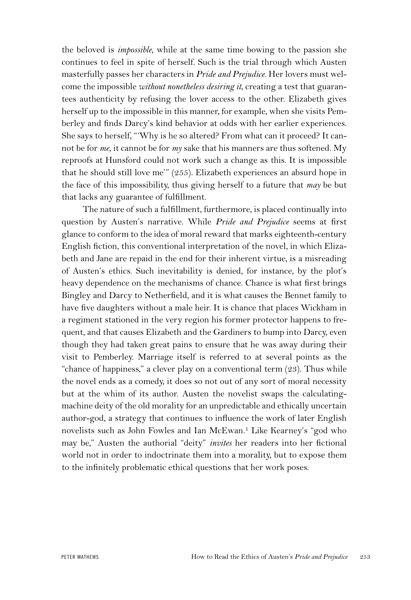the beloved is *impossible*, while at the same time bowing to the passion she continues to feel in spite of herself. Such is the trial through which Austen masterfully passes her characters in *Pride and Prejudice*. Her lovers must welcome the impossible *without nonetheless desiring it*, creating a test that guarantees authenticity by refusing the lover access to the other. Elizabeth gives herself up to the impossible in this manner, for example, when she visits Pemberley and finds Darcy's kind behavior at odds with her earlier experiences. She says to herself, "'Why is he so altered? From what can it proceed? It cannot be for *me*, it cannot be for *my* sake that his manners are thus softened. My reproofs at Hunsford could not work such a change as this. It is impossible that he should still love me'" (255). Elizabeth experiences an absurd hope in the face of this impossibility, thus giving herself to a future that *may* be but that lacks any guarantee of fulfillment.

The nature of such a fulfillment, furthermore, is placed continually into question by Austen's narrative. While *Pride and Prejudice* seems at first glance to conform to the idea of moral reward that marks eighteenth-century English fiction, this conventional interpretation of the novel, in which Elizabeth and Jane are repaid in the end for their inherent virtue, is a misreading of Austen's ethics. Such inevitability is denied, for instance, by the plot's heavy dependence on the mechanisms of chance. Chance is what first brings Bingley and Darcy to Netherfield, and it is what causes the Bennet family to have five daughters without a male heir. It is chance that places Wickham in a regiment stationed in the very region his former protector happens to frequent, and that causes Elizabeth and the Gardiners to bump into Darcy, even though they had taken great pains to ensure that he was away during their visit to Pemberley. Marriage itself is referred to at several points as the "chance of happiness," a clever play on a conventional term (23). Thus while the novel ends as a comedy, it does so not out of any sort of moral necessity but at the whim of its author. Austen the novelist swaps the calculatingmachine deity of the old morality for an unpredictable and ethically uncertain author-god, a strategy that continues to influence the work of later English novelists such as John Fowles and Ian McEwan.1 Like Kearney's "god who may be," Austen the authorial "deity" *invites* her readers into her fictional world not in order to indoctrinate them into a morality, but to expose them to the infinitely problematic ethical questions that her work poses.